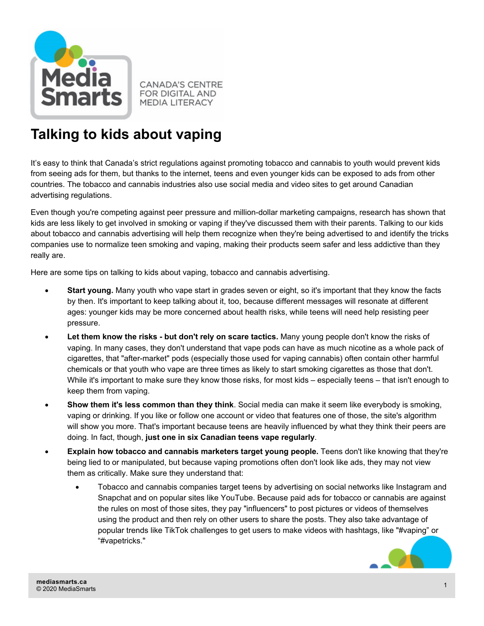

**CANADA'S CENTRE FOR DIGITAL AND MEDIA LITERACY** 

## **Talking to kids about vaping**

It's easy to think that Canada's strict regulations against promoting tobacco and cannabis to youth would prevent kids from seeing ads for them, but thanks to the internet, teens and even younger kids can be exposed to ads from other countries. The tobacco and cannabis industries also use social media and video sites to get around Canadian advertising regulations.

Even though you're competing against peer pressure and million-dollar marketing campaigns, research has shown that kids are less likely to get involved in smoking or vaping if they've discussed them with their parents. Talking to our kids about tobacco and cannabis advertising will help them recognize when they're being advertised to and identify the tricks companies use to normalize teen smoking and vaping, making their products seem safer and less addictive than they really are.

Here are some tips on talking to kids about vaping, tobacco and cannabis advertising.

- **Start young.** Many youth who vape start in grades seven or eight, so it's important that they know the facts by then. It's important to keep talking about it, too, because different messages will resonate at different ages: younger kids may be more concerned about health risks, while teens will need help resisting peer pressure.
- **Let them know the risks but don't rely on scare tactics.** Many young people don't know the risks of vaping. In many cases, they don't understand that vape pods can have as much nicotine as a whole pack of cigarettes, that "after-market" pods (especially those used for vaping cannabis) often contain other harmful chemicals or that youth who vape are three times as likely to start smoking cigarettes as those that don't. While it's important to make sure they know those risks, for most kids – especially teens – that isn't enough to keep them from vaping.
- **Show them it's less common than they think**. Social media can make it seem like everybody is smoking, vaping or drinking. If you like or follow one account or video that features one of those, the site's algorithm will show you more. That's important because teens are heavily influenced by what they think their peers are doing. In fact, though, **just one in six Canadian teens vape regularly**.
- **Explain how tobacco and cannabis marketers target young people.** Teens don't like knowing that they're being lied to or manipulated, but because vaping promotions often don't look like ads, they may not view them as critically. Make sure they understand that:
	- Tobacco and cannabis companies target teens by advertising on social networks like Instagram and Snapchat and on popular sites like YouTube. Because paid ads for tobacco or cannabis are against the rules on most of those sites, they pay "influencers" to post pictures or videos of themselves using the product and then rely on other users to share the posts. They also take advantage of popular trends like TikTok challenges to get users to make videos with hashtags, like "#vaping" or "#vapetricks."

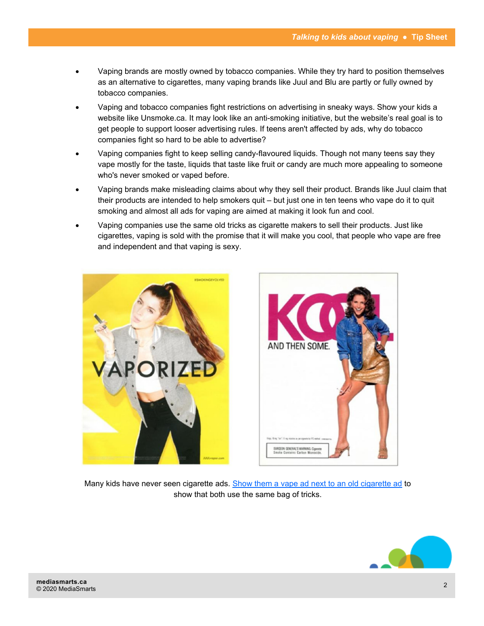- Vaping brands are mostly owned by tobacco companies. While they try hard to position themselves as an alternative to cigarettes, many vaping brands like Juul and Blu are partly or fully owned by tobacco companies.
- Vaping and tobacco companies fight restrictions on advertising in sneaky ways. Show your kids a website like Unsmoke.ca. It may look like an anti-smoking initiative, but the website's real goal is to get people to support looser advertising rules. If teens aren't affected by ads, why do tobacco companies fight so hard to be able to advertise?
- Vaping companies fight to keep selling candy-flavoured liquids. Though not many teens say they vape mostly for the taste, liquids that taste like fruit or candy are much more appealing to someone who's never smoked or vaped before.
- Vaping brands make misleading claims about why they sell their product. Brands like Juul claim that their products are intended to help smokers quit – but just one in ten teens who vape do it to quit smoking and almost all ads for vaping are aimed at making it look fun and cool.
- Vaping companies use the same old tricks as cigarette makers to sell their products. Just like cigarettes, vaping is sold with the promise that it will make you cool, that people who vape are free and independent and that vaping is sexy.





Many kids have never seen cigarette ads. [Show them a vape ad next to an old cigarette ad](http://tobacco.stanford.edu/tobacco_main/subtheme.php?token=fm_tn_mt035.php) to show that both use the same bag of tricks.